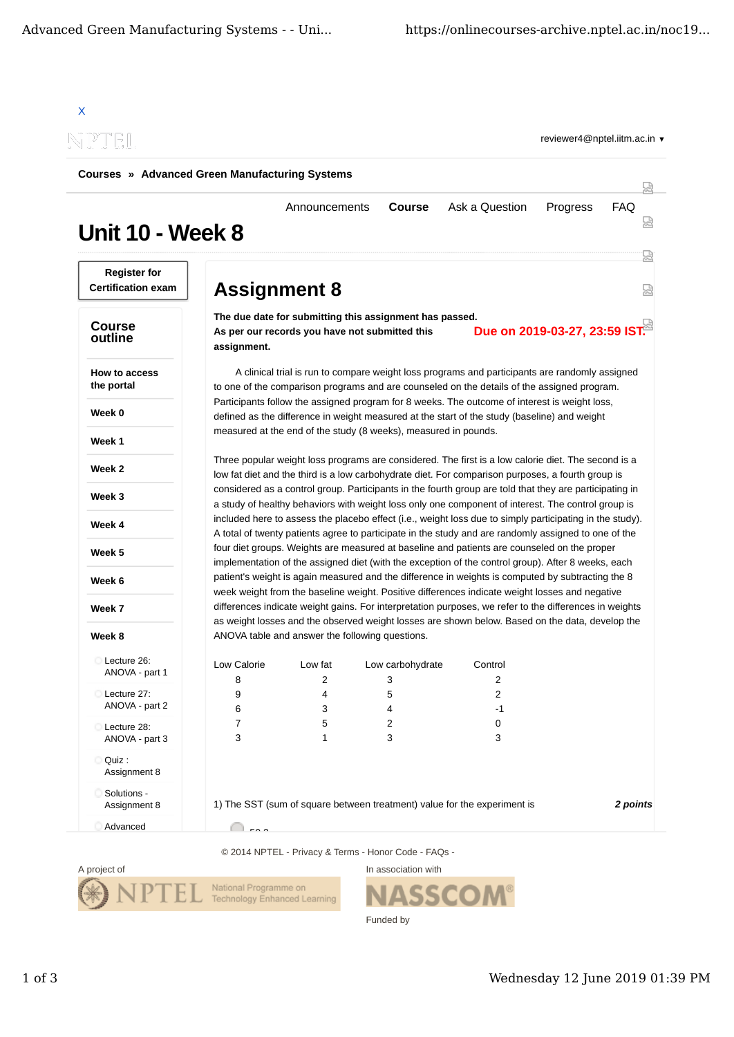|                                                       |                     |                                                                                                           |                  |                                                                                                                                                                                                                  | reviewer4@nptel.iitm.ac.in $\blacktriangledown$ |            |  |
|-------------------------------------------------------|---------------------|-----------------------------------------------------------------------------------------------------------|------------------|------------------------------------------------------------------------------------------------------------------------------------------------------------------------------------------------------------------|-------------------------------------------------|------------|--|
| <b>Courses » Advanced Green Manufacturing Systems</b> |                     |                                                                                                           |                  |                                                                                                                                                                                                                  |                                                 |            |  |
| <b>Unit 10 - Week 8</b>                               |                     | Announcements                                                                                             | <b>Course</b>    | Ask a Question                                                                                                                                                                                                   | Progress                                        | <b>FAQ</b> |  |
| <b>Register for</b><br><b>Certification exam</b>      | <b>Assignment 8</b> |                                                                                                           |                  |                                                                                                                                                                                                                  |                                                 | 넓<br>냈     |  |
| <b>Course</b><br>outline                              | assignment.         | The due date for submitting this assignment has passed.<br>As per our records you have not submitted this |                  |                                                                                                                                                                                                                  | Due on 2019-03-27, 23:59 IST.                   |            |  |
| How to access<br>the portal                           |                     |                                                                                                           |                  | A clinical trial is run to compare weight loss programs and participants are randomly assigned<br>to one of the comparison programs and are counseled on the details of the assigned program.                    |                                                 |            |  |
| Week 0                                                |                     |                                                                                                           |                  | Participants follow the assigned program for 8 weeks. The outcome of interest is weight loss,<br>defined as the difference in weight measured at the start of the study (baseline) and weight                    |                                                 |            |  |
| Week 1                                                |                     | measured at the end of the study (8 weeks), measured in pounds.                                           |                  |                                                                                                                                                                                                                  |                                                 |            |  |
| Week 2                                                |                     |                                                                                                           |                  | Three popular weight loss programs are considered. The first is a low calorie diet. The second is a<br>low fat diet and the third is a low carbohydrate diet. For comparison purposes, a fourth group is         |                                                 |            |  |
| Week 3                                                |                     |                                                                                                           |                  | considered as a control group. Participants in the fourth group are told that they are participating in<br>a study of healthy behaviors with weight loss only one component of interest. The control group is    |                                                 |            |  |
| Week 4                                                |                     |                                                                                                           |                  | included here to assess the placebo effect (i.e., weight loss due to simply participating in the study).<br>A total of twenty patients agree to participate in the study and are randomly assigned to one of the |                                                 |            |  |
|                                                       |                     |                                                                                                           |                  |                                                                                                                                                                                                                  |                                                 |            |  |
| Week 5                                                |                     |                                                                                                           |                  | four diet groups. Weights are measured at baseline and patients are counseled on the proper                                                                                                                      |                                                 |            |  |
| Week 6                                                |                     |                                                                                                           |                  | implementation of the assigned diet (with the exception of the control group). After 8 weeks, each<br>patient's weight is again measured and the difference in weights is computed by subtracting the 8          |                                                 |            |  |
| Week 7                                                |                     |                                                                                                           |                  | week weight from the baseline weight. Positive differences indicate weight losses and negative<br>differences indicate weight gains. For interpretation purposes, we refer to the differences in weights         |                                                 |            |  |
| Week 8                                                |                     | ANOVA table and answer the following questions.                                                           |                  | as weight losses and the observed weight losses are shown below. Based on the data, develop the                                                                                                                  |                                                 |            |  |
| Lecture 26:                                           |                     |                                                                                                           |                  |                                                                                                                                                                                                                  |                                                 |            |  |
| ANOVA - part 1                                        | Low Calorie         | Low fat                                                                                                   | Low carbohydrate | Control                                                                                                                                                                                                          |                                                 |            |  |
| Lecture 27:                                           | 8                   | $\overline{2}$                                                                                            | 3                | 2                                                                                                                                                                                                                |                                                 |            |  |
| ANOVA - part 2                                        | 9<br>6              | 4<br>3                                                                                                    | 5<br>4           | 2<br>$-1$                                                                                                                                                                                                        |                                                 |            |  |
|                                                       | 7                   | 5                                                                                                         | 2                | 0                                                                                                                                                                                                                |                                                 |            |  |
| Lecture 28:<br>ANOVA - part 3                         | 3                   | $\mathbf{1}$                                                                                              | 3                | 3                                                                                                                                                                                                                |                                                 |            |  |
| Quiz :<br>Assignment 8                                |                     |                                                                                                           |                  |                                                                                                                                                                                                                  |                                                 |            |  |

© 2014 NPTEL - Privacy & Terms - Honor Code - FAQs -



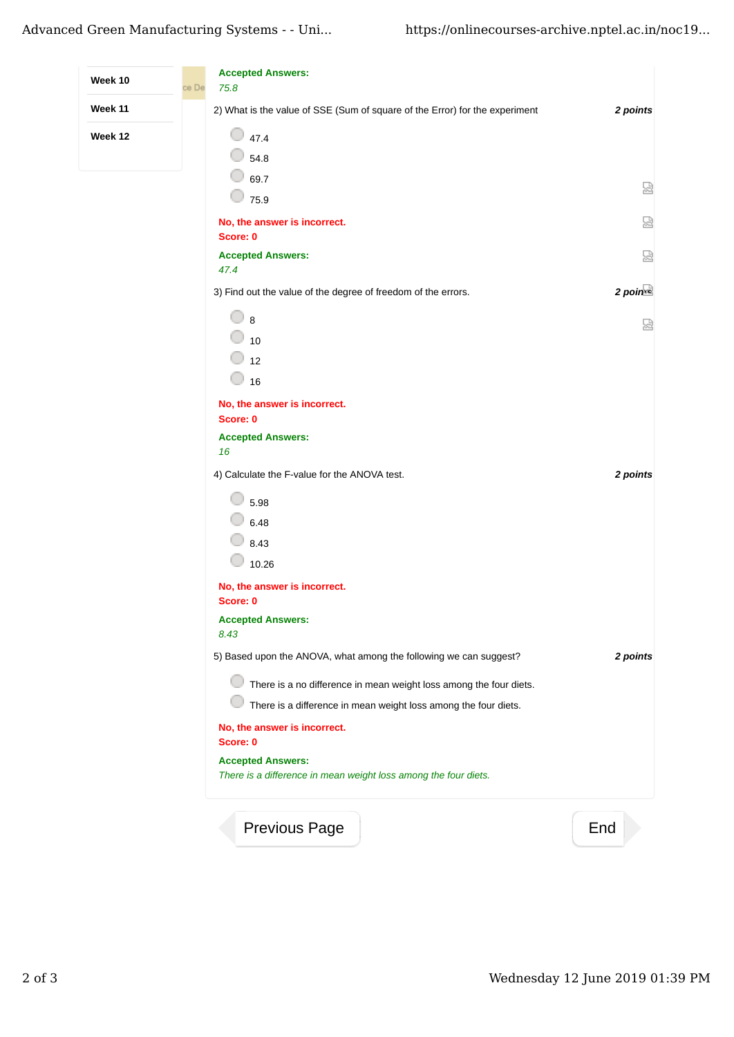